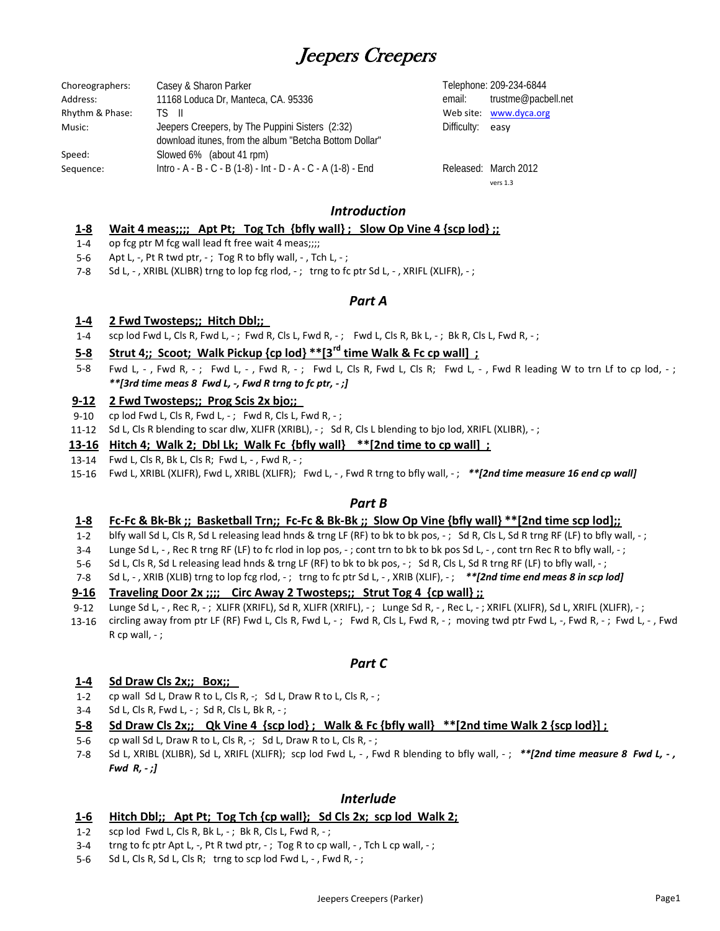# Jeepers Creepers

| Choreographers: | Casey & Sharon Parker                                         |                  | Telephone: 209-234-6844 |
|-----------------|---------------------------------------------------------------|------------------|-------------------------|
| Address:        | 11168 Loduca Dr, Manteca, CA. 95336                           | email:           | trustme@pacbell.net     |
| Rhythm & Phase: | TS II                                                         |                  | Web site: www.dyca.org  |
| Music:          | Jeepers Creepers, by The Puppini Sisters (2:32)               | Difficulty: easy |                         |
|                 | download itunes, from the album "Betcha Bottom Dollar"        |                  |                         |
| Speed:          | Slowed 6% (about 41 rpm)                                      |                  |                         |
| Sequence:       | Intro - A - B - C - B (1-8) - Int - D - A - C - A (1-8) - End |                  | Released: March 2012    |

vers 1.3

# *Introduction*

#### **1‐8** Wait 4 meas;;;; Apt Pt; Tog Tch {bfly wall}; Slow Op Vine 4 {scp lod};;

- 1‐4 op fcg ptr M fcg wall lead ft free wait 4 meas;;;;
- 5‐6 Apt L,  $-$ , Pt R twd ptr,  $-$ ; Tog R to bfly wall,  $-$ , Tch L,  $-$ ;
- 7‐8 Sd L, -, XRIBL (XLIBR) trng to lop fcg rlod, -; trng to fc ptr Sd L, -, XRIFL (XLIFR), -;

### *Part A*

#### **1‐4 2 Fwd Twosteps;; Hitch Dbl;;**

1‐4 scp lod Fwd L, Cls R, Fwd L, -; Fwd R, Cls L, Fwd R, -; Fwd L, Cls R, Bk L, -; Bk R, Cls L, Fwd R, -;

#### **5‐8 Strut 4;; Scoot; Walk Pickup {cp lod} \*\*[3rd time Walk & Fc cp wall] ;**

5‐8 Fwd L, -, Fwd R, -; Fwd L, -, Fwd R, -; Fwd L, Cls R, Fwd L, Cls R; Fwd L, -, Fwd R leading W to trn Lf to cp lod, -; *\*\*[3rd time meas 8 Fwd L, ‐, Fwd R trng to fc ptr, ‐ ;]*

#### **9‐12 2 Fwd Twosteps;; Prog Scis 2x bjo;;**

- 9‐10 cp lod Fwd L, Cls R, Fwd L,  $-$ ; Fwd R, Cls L, Fwd R,  $-$ ;
- 11-12 Sd L, Cls R blending to scar dlw, XLIFR (XRIBL), -; Sd R, Cls L blending to bjo lod, XRIFL (XLIBR), -;

### 13-16 Hitch 4; Walk 2; Dbl Lk; Walk Fc {bfly wall} \*\*[2nd time to cp wall] ;

- 13‐14 Fwd L, Cls R, Bk L, Cls R; Fwd L, ‐ , Fwd R, ‐ ;
- 15‐16 Fwd L, XRIBL (XLIFR), Fwd L, XRIBL (XLIFR); Fwd L, ‐ , Fwd R trng to bfly wall, ‐ ; *\*\*[2nd time measure 16 end cp wall]*

### *Part B*

#### **1‐8** <u>Fc-Fc & Bk-Bk; Basketball Trn;; Fc-Fc & Bk-Bk;; Slow Op Vine {bfly wall} \*\*[2nd time scp lod];;</u>

- 1‐2 blfy wall Sd L, Cls R, Sd L releasing lead hnds & trng LF (RF) to bk to bk pos, -; Sd R, Cls L, Sd R trng RF (LF) to bfly wall, -;
- 3‐4 Lunge Sd L, -, Rec R trng RF (LF) to fc rlod in lop pos, -; cont trn to bk to bk pos Sd L, -, cont trn Rec R to bfly wall, -;
- 5‐6 Sd L, Cls R, Sd L releasing lead hnds & trng LF (RF) to bk to bk pos, -; Sd R, Cls L, Sd R trng RF (LF) to bfly wall, -;
- 7‐8 Sd L, ‐ , XRIB (XLIB) trng to lop fcg rlod, ‐ ; trng to fc ptr Sd L, ‐ , XRIB (XLIF), ‐ ; *\*\*[2nd time end meas 8 in scp lod]*

#### **9‐16 Traveling Door 2x ;;;; Circ Away 2 Twosteps;; Strut Tog 4 {cp wall} ;;**

- 9‐12 Lunge Sd L, -, Rec R, -; XLIFR (XRIFL), Sd R, XLIFR (XRIFL), -; Lunge Sd R, -, Rec L, -; XRIFL (XLIFR), Sd L, XRIFL (XLIFR), -;
- 13‐16 circling away from ptr LF (RF) Fwd L, Cls R, Fwd L, -; Fwd R, Cls L, Fwd R, -; moving twd ptr Fwd L, -, Fwd R, -; Fwd L, -, Fwd  $R$  cp wall,  $-$ ;

# *Part C*

#### **1‐4 Sd Draw Cls 2x;; Box;;**

- $1 2$ cp wall Sd L, Draw R to L, Cls R, -; Sd L, Draw R to L, Cls R, -;
- 3‐4 Sd L, Cls R, Fwd L, ‐ ; Sd R, Cls L, Bk R, ‐ ;

#### **5‐8** Sd Draw Cls 2x;; Qk Vine 4 {scp lod}; Walk & Fc {bfly wall} \*\* [2nd time Walk 2 {scp lod}];

- 5‐6 cp wall Sd L, Draw R to L, Cls R,  $-$ ; Sd L, Draw R to L, Cls R,  $-$ ;
- 7‐8 Sd L, XRIBL (XLIBR), Sd L, XRIFL (XLIFR); scp lod Fwd L, ‐ , Fwd R blending to bfly wall, ‐ ; *\*\*[2nd time measure 8 Fwd L, ‐ , Fwd R, ‐ ;]*

### *Interlude*

#### **1‐6 Hitch Dbl;; Apt Pt; Tog Tch {cp wall}; Sd Cls 2x; scp lod Walk 2;**

- 1‐2 scp lod Fwd L, Cls R, Bk L,  $-$ ; Bk R, Cls L, Fwd R,  $-$ ;
- 3‐4 trng to fc ptr Apt L, -, Pt R twd ptr, -; Tog R to cp wall, -, Tch L cp wall, -;
- 5‐6 Sd L, Cls R, Sd L, Cls R; trng to scp lod Fwd L, -, Fwd R, -;